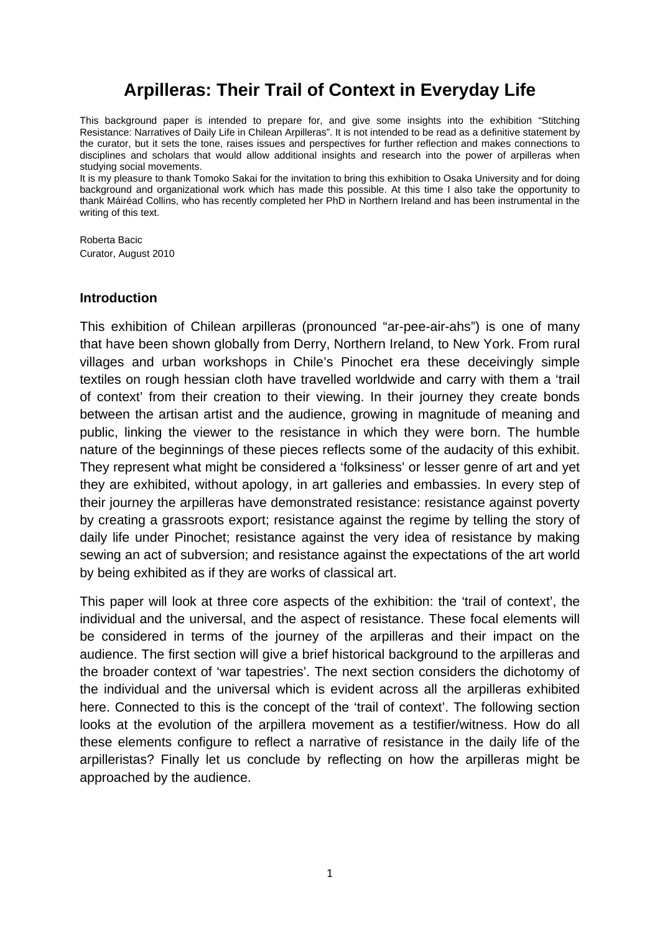# **Arpilleras: Their Trail of Context in Everyday Life**

This background paper is intended to prepare for, and give some insights into the exhibition "Stitching Resistance: Narratives of Daily Life in Chilean Arpilleras". It is not intended to be read as a definitive statement by the curator, but it sets the tone, raises issues and perspectives for further reflection and makes connections to disciplines and scholars that would allow additional insights and research into the power of arpilleras when studying social movements.

It is my pleasure to thank Tomoko Sakai for the invitation to bring this exhibition to Osaka University and for doing background and organizational work which has made this possible. At this time I also take the opportunity to thank Máiréad Collins, who has recently completed her PhD in Northern Ireland and has been instrumental in the writing of this text.

Roberta Bacic Curator, August 2010

#### **Introduction**

This exhibition of Chilean arpilleras (pronounced "ar-pee-air-ahs") is one of many that have been shown globally from Derry, Northern Ireland, to New York. From rural villages and urban workshops in Chile's Pinochet era these deceivingly simple textiles on rough hessian cloth have travelled worldwide and carry with them a 'trail of context' from their creation to their viewing. In their journey they create bonds between the artisan artist and the audience, growing in magnitude of meaning and public, linking the viewer to the resistance in which they were born. The humble nature of the beginnings of these pieces reflects some of the audacity of this exhibit. They represent what might be considered a 'folksiness' or lesser genre of art and yet they are exhibited, without apology, in art galleries and embassies. In every step of their journey the arpilleras have demonstrated resistance: resistance against poverty by creating a grassroots export; resistance against the regime by telling the story of daily life under Pinochet; resistance against the very idea of resistance by making sewing an act of subversion; and resistance against the expectations of the art world by being exhibited as if they are works of classical art.

This paper will look at three core aspects of the exhibition: the 'trail of context', the individual and the universal, and the aspect of resistance. These focal elements will be considered in terms of the journey of the arpilleras and their impact on the audience. The first section will give a brief historical background to the arpilleras and the broader context of 'war tapestries'. The next section considers the dichotomy of the individual and the universal which is evident across all the arpilleras exhibited here. Connected to this is the concept of the 'trail of context'. The following section looks at the evolution of the arpillera movement as a testifier/witness. How do all these elements configure to reflect a narrative of resistance in the daily life of the arpilleristas? Finally let us conclude by reflecting on how the arpilleras might be approached by the audience.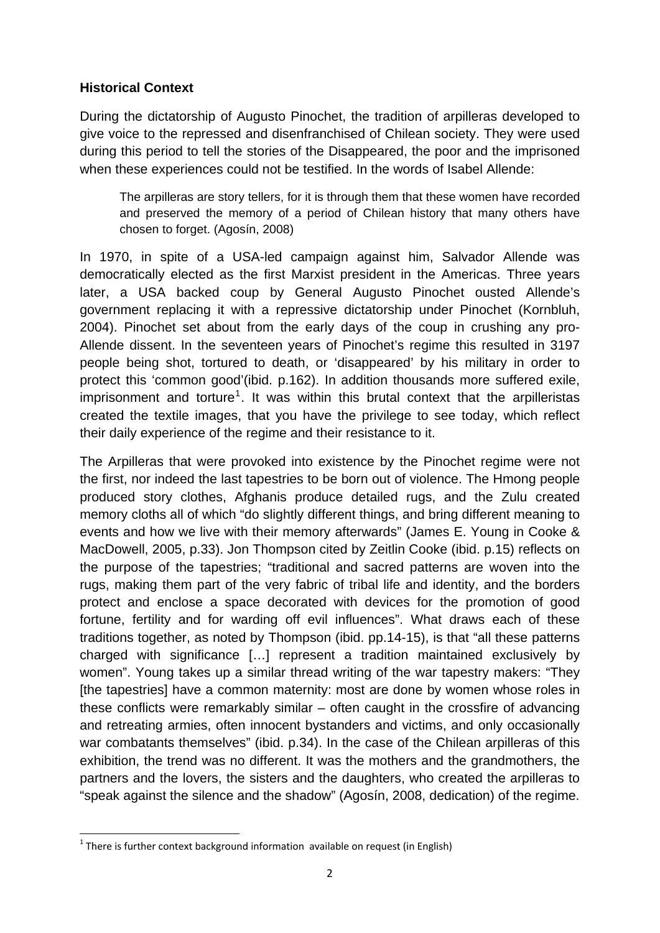## **Historical Context**

During the dictatorship of Augusto Pinochet, the tradition of arpilleras developed to give voice to the repressed and disenfranchised of Chilean society. They were used during this period to tell the stories of the Disappeared, the poor and the imprisoned when these experiences could not be testified. In the words of Isabel Allende:

The arpilleras are story tellers, for it is through them that these women have recorded and preserved the memory of a period of Chilean history that many others have chosen to forget. (Agosín, 2008)

In 1970, in spite of a USA-led campaign against him, Salvador Allende was democratically elected as the first Marxist president in the Americas. Three years later, a USA backed coup by General Augusto Pinochet ousted Allende's government replacing it with a repressive dictatorship under Pinochet (Kornbluh, 2004). Pinochet set about from the early days of the coup in crushing any pro-Allende dissent. In the seventeen years of Pinochet's regime this resulted in 3197 people being shot, tortured to death, or 'disappeared' by his military in order to protect this 'common good'(ibid. p.162). In addition thousands more suffered exile, imprisonment and torture<sup>[1](#page-1-0)</sup>. It was within this brutal context that the arpilleristas created the textile images, that you have the privilege to see today, which reflect their daily experience of the regime and their resistance to it.

The Arpilleras that were provoked into existence by the Pinochet regime were not the first, nor indeed the last tapestries to be born out of violence. The Hmong people produced story clothes, Afghanis produce detailed rugs, and the Zulu created memory cloths all of which "do slightly different things, and bring different meaning to events and how we live with their memory afterwards" (James E. Young in Cooke & MacDowell, 2005, p.33). Jon Thompson cited by Zeitlin Cooke (ibid. p.15) reflects on the purpose of the tapestries; "traditional and sacred patterns are woven into the rugs, making them part of the very fabric of tribal life and identity, and the borders protect and enclose a space decorated with devices for the promotion of good fortune, fertility and for warding off evil influences". What draws each of these traditions together, as noted by Thompson (ibid. pp.14-15), is that "all these patterns charged with significance […] represent a tradition maintained exclusively by women". Young takes up a similar thread writing of the war tapestry makers: "They [the tapestries] have a common maternity: most are done by women whose roles in these conflicts were remarkably similar – often caught in the crossfire of advancing and retreating armies, often innocent bystanders and victims, and only occasionally war combatants themselves" (ibid. p.34). In the case of the Chilean arpilleras of this exhibition, the trend was no different. It was the mothers and the grandmothers, the partners and the lovers, the sisters and the daughters, who created the arpilleras to "speak against the silence and the shadow" (Agosín, 2008, dedication) of the regime.

<span id="page-1-0"></span> $1$  There is further context background information available on request (in English)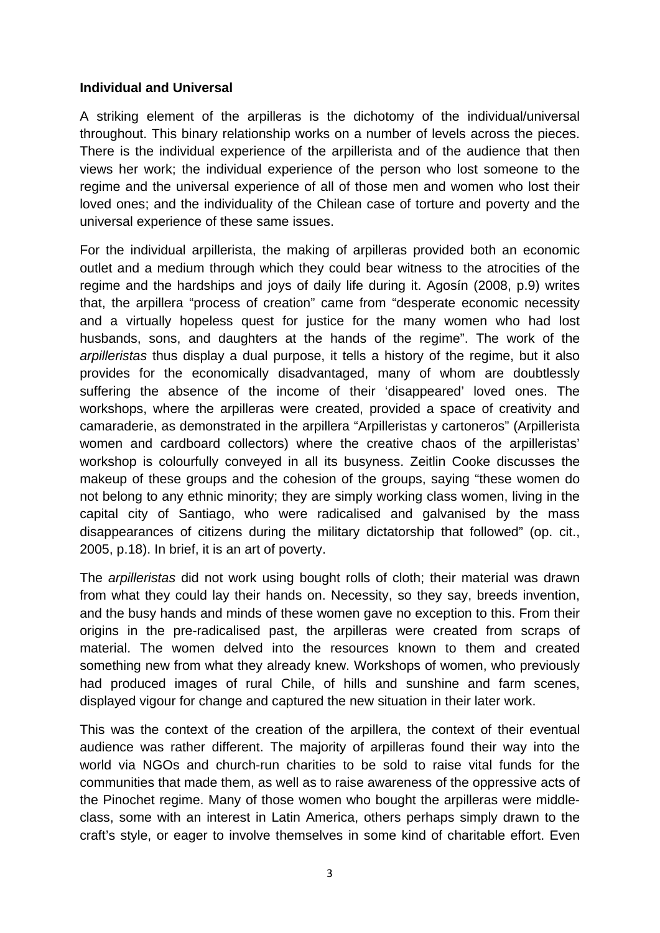### **Individual and Universal**

A striking element of the arpilleras is the dichotomy of the individual/universal throughout. This binary relationship works on a number of levels across the pieces. There is the individual experience of the arpillerista and of the audience that then views her work; the individual experience of the person who lost someone to the regime and the universal experience of all of those men and women who lost their loved ones; and the individuality of the Chilean case of torture and poverty and the universal experience of these same issues.

For the individual arpillerista, the making of arpilleras provided both an economic outlet and a medium through which they could bear witness to the atrocities of the regime and the hardships and joys of daily life during it. Agosín (2008, p.9) writes that, the arpillera "process of creation" came from "desperate economic necessity and a virtually hopeless quest for justice for the many women who had lost husbands, sons, and daughters at the hands of the regime". The work of the *arpilleristas* thus display a dual purpose, it tells a history of the regime, but it also provides for the economically disadvantaged, many of whom are doubtlessly suffering the absence of the income of their 'disappeared' loved ones. The workshops, where the arpilleras were created, provided a space of creativity and camaraderie, as demonstrated in the arpillera "Arpilleristas y cartoneros" (Arpillerista women and cardboard collectors) where the creative chaos of the arpilleristas' workshop is colourfully conveyed in all its busyness. Zeitlin Cooke discusses the makeup of these groups and the cohesion of the groups, saying "these women do not belong to any ethnic minority; they are simply working class women, living in the capital city of Santiago, who were radicalised and galvanised by the mass disappearances of citizens during the military dictatorship that followed" (op. cit., 2005, p.18). In brief, it is an art of poverty.

The *arpilleristas* did not work using bought rolls of cloth; their material was drawn from what they could lay their hands on. Necessity, so they say, breeds invention, and the busy hands and minds of these women gave no exception to this. From their origins in the pre-radicalised past, the arpilleras were created from scraps of material. The women delved into the resources known to them and created something new from what they already knew. Workshops of women, who previously had produced images of rural Chile, of hills and sunshine and farm scenes, displayed vigour for change and captured the new situation in their later work.

This was the context of the creation of the arpillera, the context of their eventual audience was rather different. The majority of arpilleras found their way into the world via NGOs and church-run charities to be sold to raise vital funds for the communities that made them, as well as to raise awareness of the oppressive acts of the Pinochet regime. Many of those women who bought the arpilleras were middleclass, some with an interest in Latin America, others perhaps simply drawn to the craft's style, or eager to involve themselves in some kind of charitable effort. Even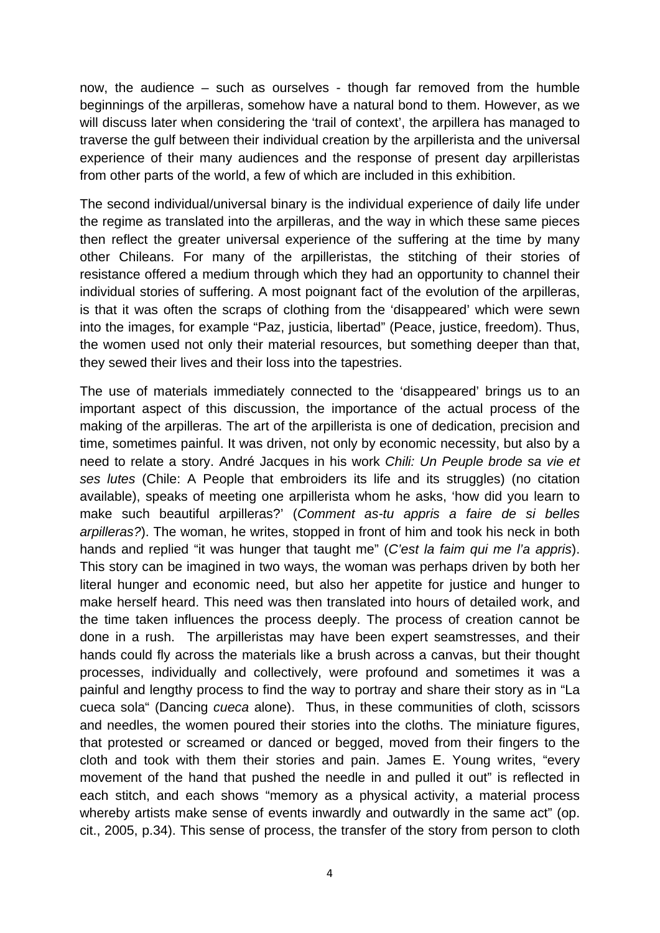now, the audience – such as ourselves - though far removed from the humble beginnings of the arpilleras, somehow have a natural bond to them. However, as we will discuss later when considering the 'trail of context', the arpillera has managed to traverse the gulf between their individual creation by the arpillerista and the universal experience of their many audiences and the response of present day arpilleristas from other parts of the world, a few of which are included in this exhibition.

The second individual/universal binary is the individual experience of daily life under the regime as translated into the arpilleras, and the way in which these same pieces then reflect the greater universal experience of the suffering at the time by many other Chileans. For many of the arpilleristas, the stitching of their stories of resistance offered a medium through which they had an opportunity to channel their individual stories of suffering. A most poignant fact of the evolution of the arpilleras, is that it was often the scraps of clothing from the 'disappeared' which were sewn into the images, for example "Paz, justicia, libertad" (Peace, justice, freedom). Thus, the women used not only their material resources, but something deeper than that, they sewed their lives and their loss into the tapestries.

The use of materials immediately connected to the 'disappeared' brings us to an important aspect of this discussion, the importance of the actual process of the making of the arpilleras. The art of the arpillerista is one of dedication, precision and time, sometimes painful. It was driven, not only by economic necessity, but also by a need to relate a story. André Jacques in his work *Chili: Un Peuple brode sa vie et ses lutes* (Chile: A People that embroiders its life and its struggles) (no citation available), speaks of meeting one arpillerista whom he asks, 'how did you learn to make such beautiful arpilleras?' (*Comment as-tu appris a faire de si belles arpilleras?*). The woman, he writes, stopped in front of him and took his neck in both hands and replied "it was hunger that taught me" (*C'est la faim qui me l'a appris*). This story can be imagined in two ways, the woman was perhaps driven by both her literal hunger and economic need, but also her appetite for justice and hunger to make herself heard. This need was then translated into hours of detailed work, and the time taken influences the process deeply. The process of creation cannot be done in a rush. The arpilleristas may have been expert seamstresses, and their hands could fly across the materials like a brush across a canvas, but their thought processes, individually and collectively, were profound and sometimes it was a painful and lengthy process to find the way to portray and share their story as in "La cueca sola" (Dancing *cueca* alone). Thus, in these communities of cloth, scissors and needles, the women poured their stories into the cloths. The miniature figures, that protested or screamed or danced or begged, moved from their fingers to the cloth and took with them their stories and pain. James E. Young writes, "every movement of the hand that pushed the needle in and pulled it out" is reflected in each stitch, and each shows "memory as a physical activity, a material process whereby artists make sense of events inwardly and outwardly in the same act" (op. cit., 2005, p.34). This sense of process, the transfer of the story from person to cloth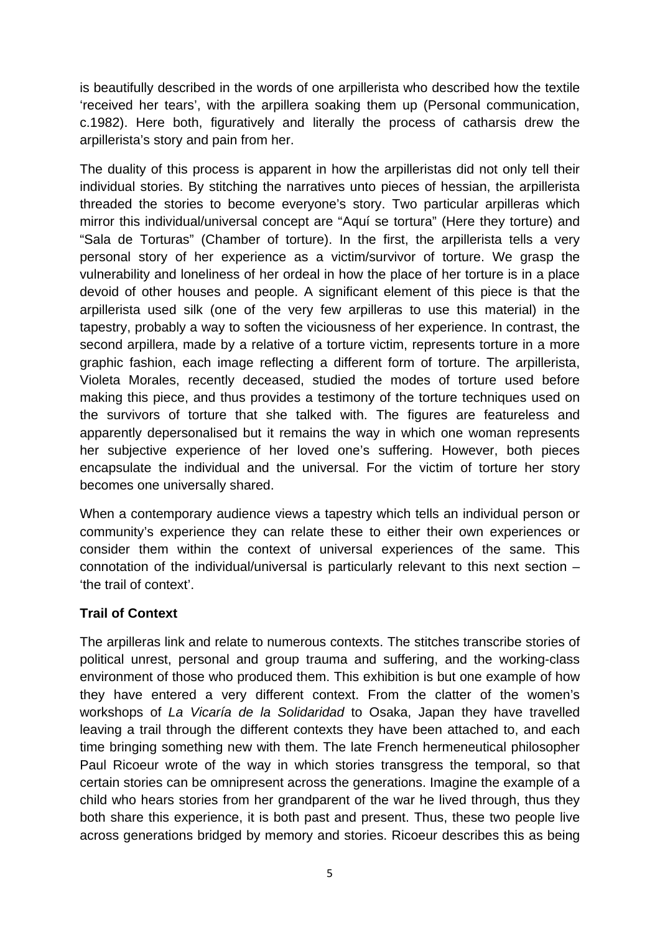is beautifully described in the words of one arpillerista who described how the textile 'received her tears', with the arpillera soaking them up (Personal communication, c.1982). Here both, figuratively and literally the process of catharsis drew the arpillerista's story and pain from her.

The duality of this process is apparent in how the arpilleristas did not only tell their individual stories. By stitching the narratives unto pieces of hessian, the arpillerista threaded the stories to become everyone's story. Two particular arpilleras which mirror this individual/universal concept are "Aquí se tortura" (Here they torture) and "Sala de Torturas" (Chamber of torture). In the first, the arpillerista tells a very personal story of her experience as a victim/survivor of torture. We grasp the vulnerability and loneliness of her ordeal in how the place of her torture is in a place devoid of other houses and people. A significant element of this piece is that the arpillerista used silk (one of the very few arpilleras to use this material) in the tapestry, probably a way to soften the viciousness of her experience. In contrast, the second arpillera, made by a relative of a torture victim, represents torture in a more graphic fashion, each image reflecting a different form of torture. The arpillerista, Violeta Morales, recently deceased, studied the modes of torture used before making this piece, and thus provides a testimony of the torture techniques used on the survivors of torture that she talked with. The figures are featureless and apparently depersonalised but it remains the way in which one woman represents her subjective experience of her loved one's suffering. However, both pieces encapsulate the individual and the universal. For the victim of torture her story becomes one universally shared.

When a contemporary audience views a tapestry which tells an individual person or community's experience they can relate these to either their own experiences or consider them within the context of universal experiences of the same. This connotation of the individual/universal is particularly relevant to this next section – 'the trail of context'.

## **Trail of Context**

The arpilleras link and relate to numerous contexts. The stitches transcribe stories of political unrest, personal and group trauma and suffering, and the working-class environment of those who produced them. This exhibition is but one example of how they have entered a very different context. From the clatter of the women's workshops of *La Vicaría de la Solidaridad* to Osaka, Japan they have travelled leaving a trail through the different contexts they have been attached to, and each time bringing something new with them. The late French hermeneutical philosopher Paul Ricoeur wrote of the way in which stories transgress the temporal, so that certain stories can be omnipresent across the generations. Imagine the example of a child who hears stories from her grandparent of the war he lived through, thus they both share this experience, it is both past and present. Thus, these two people live across generations bridged by memory and stories. Ricoeur describes this as being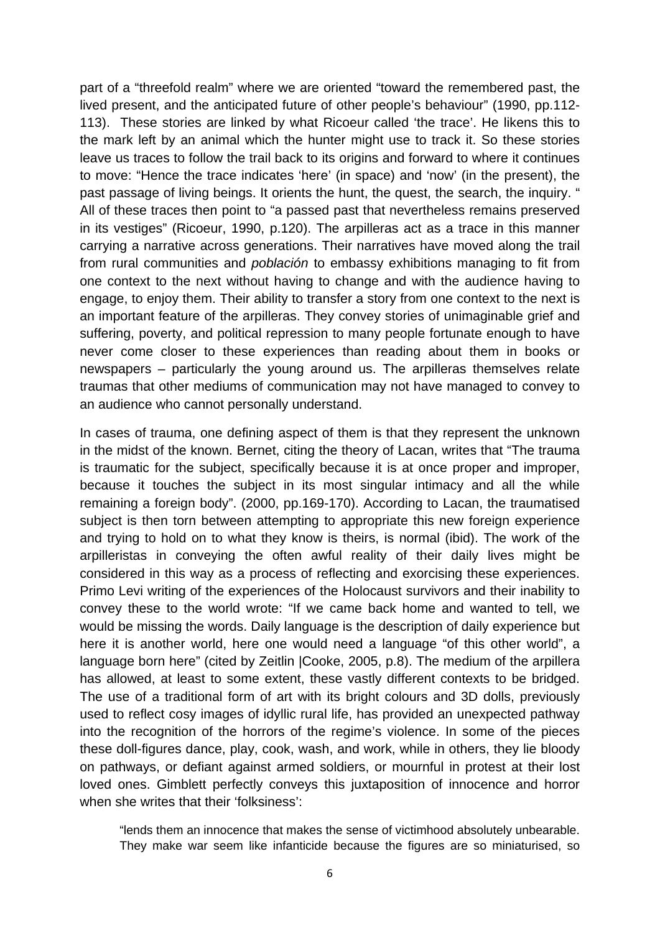part of a "threefold realm" where we are oriented "toward the remembered past, the lived present, and the anticipated future of other people's behaviour" (1990, pp.112- 113). These stories are linked by what Ricoeur called 'the trace'. He likens this to the mark left by an animal which the hunter might use to track it. So these stories leave us traces to follow the trail back to its origins and forward to where it continues to move: "Hence the trace indicates 'here' (in space) and 'now' (in the present), the past passage of living beings. It orients the hunt, the quest, the search, the inquiry. " All of these traces then point to "a passed past that nevertheless remains preserved in its vestiges" (Ricoeur, 1990, p.120). The arpilleras act as a trace in this manner carrying a narrative across generations. Their narratives have moved along the trail from rural communities and *población* to embassy exhibitions managing to fit from one context to the next without having to change and with the audience having to engage, to enjoy them. Their ability to transfer a story from one context to the next is an important feature of the arpilleras. They convey stories of unimaginable grief and suffering, poverty, and political repression to many people fortunate enough to have never come closer to these experiences than reading about them in books or newspapers – particularly the young around us. The arpilleras themselves relate traumas that other mediums of communication may not have managed to convey to an audience who cannot personally understand.

In cases of trauma, one defining aspect of them is that they represent the unknown in the midst of the known. Bernet, citing the theory of Lacan, writes that "The trauma is traumatic for the subject, specifically because it is at once proper and improper, because it touches the subject in its most singular intimacy and all the while remaining a foreign body". (2000, pp.169-170). According to Lacan, the traumatised subject is then torn between attempting to appropriate this new foreign experience and trying to hold on to what they know is theirs, is normal (ibid). The work of the arpilleristas in conveying the often awful reality of their daily lives might be considered in this way as a process of reflecting and exorcising these experiences. Primo Levi writing of the experiences of the Holocaust survivors and their inability to convey these to the world wrote: "If we came back home and wanted to tell, we would be missing the words. Daily language is the description of daily experience but here it is another world, here one would need a language "of this other world", a language born here" (cited by Zeitlin |Cooke, 2005, p.8). The medium of the arpillera has allowed, at least to some extent, these vastly different contexts to be bridged. The use of a traditional form of art with its bright colours and 3D dolls, previously used to reflect cosy images of idyllic rural life, has provided an unexpected pathway into the recognition of the horrors of the regime's violence. In some of the pieces these doll-figures dance, play, cook, wash, and work, while in others, they lie bloody on pathways, or defiant against armed soldiers, or mournful in protest at their lost loved ones. Gimblett perfectly conveys this juxtaposition of innocence and horror when she writes that their 'folksiness':

"lends them an innocence that makes the sense of victimhood absolutely unbearable. They make war seem like infanticide because the figures are so miniaturised, so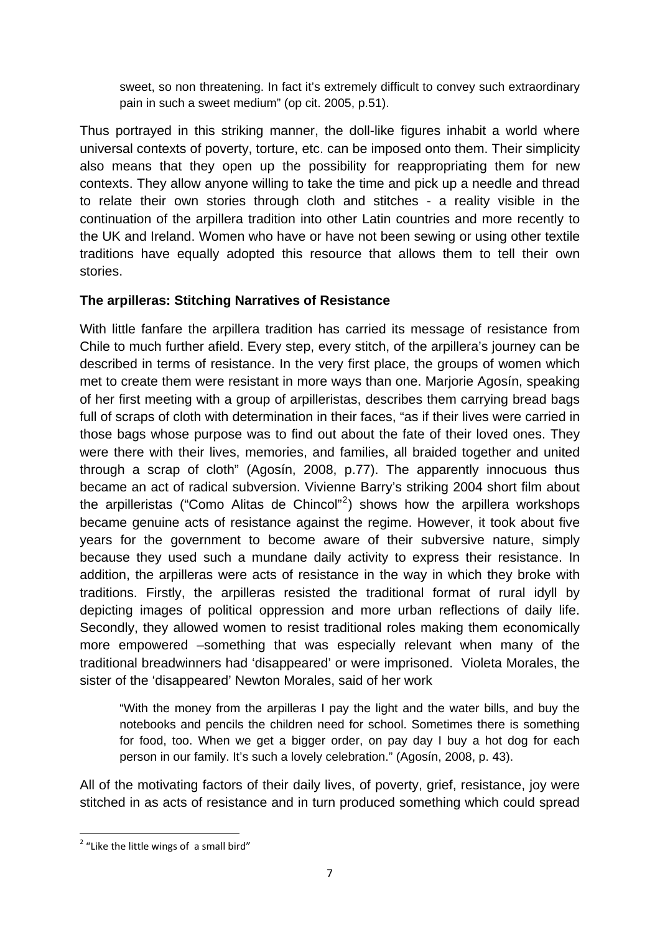sweet, so non threatening. In fact it's extremely difficult to convey such extraordinary pain in such a sweet medium" (op cit. 2005, p.51).

Thus portrayed in this striking manner, the doll-like figures inhabit a world where universal contexts of poverty, torture, etc. can be imposed onto them. Their simplicity also means that they open up the possibility for reappropriating them for new contexts. They allow anyone willing to take the time and pick up a needle and thread to relate their own stories through cloth and stitches - a reality visible in the continuation of the arpillera tradition into other Latin countries and more recently to the UK and Ireland. Women who have or have not been sewing or using other textile traditions have equally adopted this resource that allows them to tell their own stories.

## **The arpilleras: Stitching Narratives of Resistance**

With little fanfare the arpillera tradition has carried its message of resistance from Chile to much further afield. Every step, every stitch, of the arpillera's journey can be described in terms of resistance. In the very first place, the groups of women which met to create them were resistant in more ways than one. Marjorie Agosín, speaking of her first meeting with a group of arpilleristas, describes them carrying bread bags full of scraps of cloth with determination in their faces, "as if their lives were carried in those bags whose purpose was to find out about the fate of their loved ones. They were there with their lives, memories, and families, all braided together and united through a scrap of cloth" (Agosín, 2008, p.77). The apparently innocuous thus became an act of radical subversion. Vivienne Barry's striking 2004 short film about the arpilleristas ("Como Alitas de Chincol"<sup>[2](#page-6-0)</sup>) shows how the arpillera workshops became genuine acts of resistance against the regime. However, it took about five years for the government to become aware of their subversive nature, simply because they used such a mundane daily activity to express their resistance. In addition, the arpilleras were acts of resistance in the way in which they broke with traditions. Firstly, the arpilleras resisted the traditional format of rural idyll by depicting images of political oppression and more urban reflections of daily life. Secondly, they allowed women to resist traditional roles making them economically more empowered –something that was especially relevant when many of the traditional breadwinners had 'disappeared' or were imprisoned. Violeta Morales, the sister of the 'disappeared' Newton Morales, said of her work

"With the money from the arpilleras I pay the light and the water bills, and buy the notebooks and pencils the children need for school. Sometimes there is something for food, too. When we get a bigger order, on pay day I buy a hot dog for each person in our family. It's such a lovely celebration." (Agosín, 2008, p. 43).

All of the motivating factors of their daily lives, of poverty, grief, resistance, joy were stitched in as acts of resistance and in turn produced something which could spread

<span id="page-6-0"></span>  $2$  "Like the little wings of a small bird"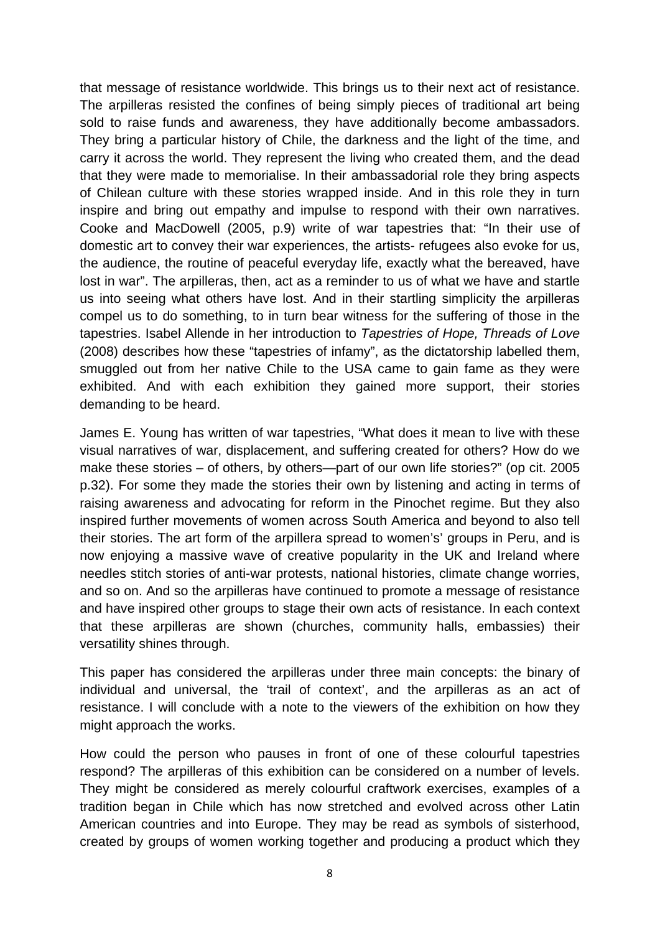that message of resistance worldwide. This brings us to their next act of resistance. The arpilleras resisted the confines of being simply pieces of traditional art being sold to raise funds and awareness, they have additionally become ambassadors. They bring a particular history of Chile, the darkness and the light of the time, and carry it across the world. They represent the living who created them, and the dead that they were made to memorialise. In their ambassadorial role they bring aspects of Chilean culture with these stories wrapped inside. And in this role they in turn inspire and bring out empathy and impulse to respond with their own narratives. Cooke and MacDowell (2005, p.9) write of war tapestries that: "In their use of domestic art to convey their war experiences, the artists- refugees also evoke for us, the audience, the routine of peaceful everyday life, exactly what the bereaved, have lost in war". The arpilleras, then, act as a reminder to us of what we have and startle us into seeing what others have lost. And in their startling simplicity the arpilleras compel us to do something, to in turn bear witness for the suffering of those in the tapestries. Isabel Allende in her introduction to *Tapestries of Hope, Threads of Love* (2008) describes how these "tapestries of infamy", as the dictatorship labelled them, smuggled out from her native Chile to the USA came to gain fame as they were exhibited. And with each exhibition they gained more support, their stories demanding to be heard.

James E. Young has written of war tapestries, "What does it mean to live with these visual narratives of war, displacement, and suffering created for others? How do we make these stories – of others, by others—part of our own life stories?" (op cit. 2005 p.32). For some they made the stories their own by listening and acting in terms of raising awareness and advocating for reform in the Pinochet regime. But they also inspired further movements of women across South America and beyond to also tell their stories. The art form of the arpillera spread to women's' groups in Peru, and is now enjoying a massive wave of creative popularity in the UK and Ireland where needles stitch stories of anti-war protests, national histories, climate change worries, and so on. And so the arpilleras have continued to promote a message of resistance and have inspired other groups to stage their own acts of resistance. In each context that these arpilleras are shown (churches, community halls, embassies) their versatility shines through.

This paper has considered the arpilleras under three main concepts: the binary of individual and universal, the 'trail of context', and the arpilleras as an act of resistance. I will conclude with a note to the viewers of the exhibition on how they might approach the works.

How could the person who pauses in front of one of these colourful tapestries respond? The arpilleras of this exhibition can be considered on a number of levels. They might be considered as merely colourful craftwork exercises, examples of a tradition began in Chile which has now stretched and evolved across other Latin American countries and into Europe. They may be read as symbols of sisterhood, created by groups of women working together and producing a product which they